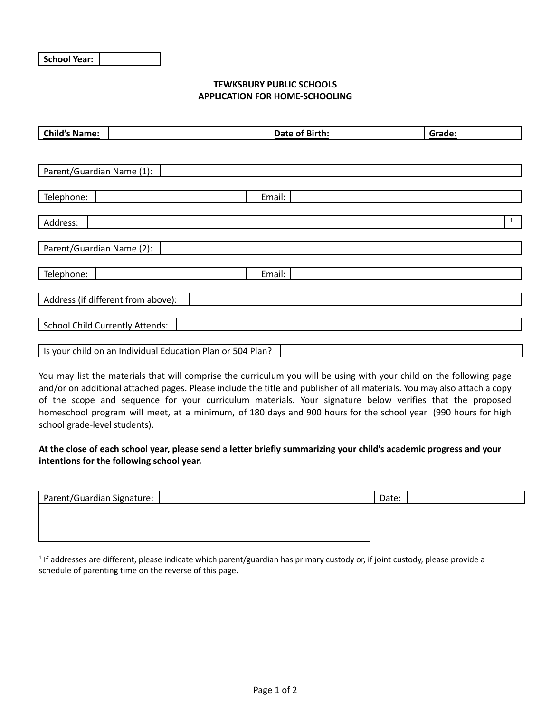## **TEWKSBURY PUBLIC SCHOOLS APPLICATION FOR HOME-SCHOOLING**

| <b>Child's Name:</b>                   | Date of Birth:                                             |  | Grade:       |  |  |
|----------------------------------------|------------------------------------------------------------|--|--------------|--|--|
|                                        |                                                            |  |              |  |  |
| Parent/Guardian Name (1):              |                                                            |  |              |  |  |
| Telephone:                             | Email:                                                     |  |              |  |  |
| Address:                               |                                                            |  | $\mathbf{1}$ |  |  |
|                                        |                                                            |  |              |  |  |
| Parent/Guardian Name (2):              |                                                            |  |              |  |  |
| Telephone:                             | Email:                                                     |  |              |  |  |
| Address (if different from above):     |                                                            |  |              |  |  |
| <b>School Child Currently Attends:</b> |                                                            |  |              |  |  |
|                                        |                                                            |  |              |  |  |
|                                        | Is your child on an Individual Education Plan or 504 Plan? |  |              |  |  |

You may list the materials that will comprise the curriculum you will be using with your child on the following page and/or on additional attached pages. Please include the title and publisher of all materials. You may also attach a copy of the scope and sequence for your curriculum materials. Your signature below verifies that the proposed homeschool program will meet, at a minimum, of 180 days and 900 hours for the school year (990 hours for high school grade-level students).

At the close of each school year, please send a letter briefly summarizing your child's academic progress and your **intentions for the following school year.**

| Parent/Guardian Signature: | Date: |
|----------------------------|-------|
|                            |       |
|                            |       |
|                            |       |

 $1$  If addresses are different, please indicate which parent/guardian has primary custody or, if joint custody, please provide a schedule of parenting time on the reverse of this page.